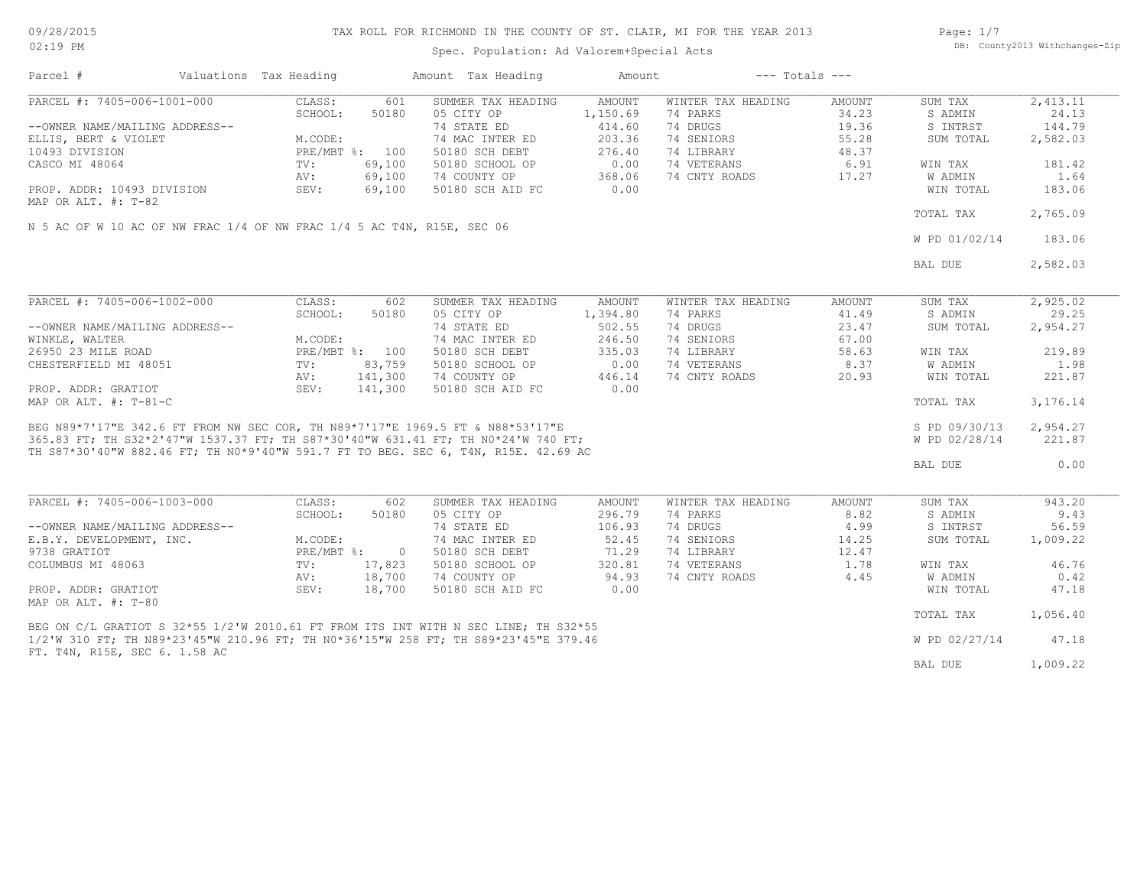Spec. Population: Ad Valorem+Special Acts

Page: 1/7 DB: County2013 Withchanges-Zip

| 601<br>SUMMER TAX HEADING<br>AMOUNT<br>WINTER TAX HEADING<br>CLASS:<br>AMOUNT<br>SUM TAX<br>SCHOOL:<br>50180<br>05 CITY OP<br>1,150.69<br>74 PARKS<br>34.23<br>S ADMIN<br>--OWNER NAME/MAILING ADDRESS--<br>74 STATE ED<br>74 DRUGS<br>19.36<br>S INTRST<br>414.60<br>74 SENIORS<br>ELLIS, BERT & VIOLET<br>M.CODE:<br>74 MAC INTER ED<br>203.36<br>55.28<br>SUM TOTAL<br>2,582.03<br>276.40<br>74 LIBRARY<br>10493 DIVISION<br>PRE/MBT %: 100<br>50180 SCH DEBT<br>48.37<br>69,100<br>0.00<br>74 VETERANS<br>6.91<br>CASCO MI 48064<br>TV:<br>50180 SCHOOL OP<br>181.42<br>WIN TAX<br>74 CNTY ROADS<br>1.64<br>69,100<br>74 COUNTY OP<br>368.06<br>17.27<br>W ADMIN<br>AV:<br>0.00<br>PROP. ADDR: 10493 DIVISION<br>SEV:<br>69,100<br>50180 SCH AID FC<br>WIN TOTAL<br>183.06<br>TOTAL TAX<br>2,765.09<br>N 5 AC OF W 10 AC OF NW FRAC 1/4 OF NW FRAC 1/4 5 AC T4N, R15E, SEC 06<br>W PD 01/02/14<br>BAL DUE<br>CLASS:<br>602<br>SUMMER TAX HEADING<br>AMOUNT<br>WINTER TAX HEADING<br><b>AMOUNT</b><br>SUM TAX<br>41.49<br>SCHOOL:<br>50180<br>05 CITY OP<br>1,394.80<br>74 PARKS<br>S ADMIN<br>74 STATE ED<br>502.55<br>74 DRUGS<br>--OWNER NAME/MAILING ADDRESS--<br>23.47<br>SUM TOTAL<br>74 MAC INTER ED<br>246.50<br>74 SENIORS<br>67.00<br>WINKLE, WALTER<br>M.CODE:<br>26950 23 MILE ROAD<br>PRE/MBT %: 100<br>50180 SCH DEBT<br>335.03<br>74 LIBRARY<br>58.63<br>219.89<br>WIN TAX<br>83,759<br>74 VETERANS<br>8.37<br>1.98<br>CHESTERFIELD MI 48051<br>50180 SCHOOL OP<br>0.00<br>W ADMIN<br>TV:<br>141,300<br>74 CNTY ROADS<br>221.87<br>AV:<br>74 COUNTY OP<br>446.14<br>20.93<br>WIN TOTAL<br>SEV:<br>141,300<br>0.00<br>PROP. ADDR: GRATIOT<br>50180 SCH AID FC<br>MAP OR ALT. #: T-81-C<br>TOTAL TAX<br>3,176.14<br>MAP OR ALT. #: T-81-C<br>BEG N89*7'17"E 342.6 FT FROM NW SEC COR, TH N89*7'17"E 1969.5 FT & N88*53'17"E<br>''' 20 TT TH 022*2'47"W 1537.37 FT; TH S87*30'40"W 631.41 FT; TH N0*24'W 740 FT;<br>2,954.27<br>S PD 09/30/13<br>221.87<br>W PD 02/28/14<br><b>BAL DUE</b><br>CLASS:<br>SUMMER TAX HEADING<br>WINTER TAX HEADING<br>602<br>AMOUNT<br>AMOUNT<br>SUM TAX<br>05 CITY OP<br>296.79<br>8.82<br>SCHOOL:<br>50180<br>74 PARKS<br>S ADMIN<br>74 STATE ED<br>106.93<br>74 DRUGS<br>4.99<br>S INTRST<br>--OWNER NAME/MAILING ADDRESS--<br>M.CODE:<br>74 MAC INTER ED<br>52.45<br>74 SENIORS<br>14.25<br>SUM TOTAL<br>71.29<br>74 LIBRARY<br>9738 GRATIOT<br>$PRE/MBT$ %:<br>$\overline{0}$<br>50180 SCH DEBT<br>12.47<br>74 VETERANS<br>COLUMBUS MI 48063<br>TV:<br>17,823<br>50180 SCHOOL OP<br>320.81<br>1.78<br>WIN TAX<br>46.76<br>18,700<br>94.93<br>74 CNTY ROADS<br><b>W ADMIN</b><br>AV:<br>74 COUNTY OP<br>4.45<br>0.42<br>PROP. ADDR: GRATIOT<br>SEV:<br>18,700<br>0.00<br>47.18<br>50180 SCH AID FC<br>WIN TOTAL<br>MAP OR ALT. #: T-80<br>TOTAL TAX<br>BEG ON C/L GRATIOT S 32*55 1/2'W 2010.61 FT FROM ITS INT WITH N SEC LINE; TH S32*55<br>1/2'W 310 FT; TH N89*23'45"W 210.96 FT; TH N0*36'15"W 258 FT; TH S89*23'45"E 379.46<br>W PD 02/27/14<br>47.18<br>FT. T4N, R15E, SEC 6. 1.58 AC<br>BAL DUE | Parcel #                    | Valuations Tax Heading | Amount Tax Heading | Amount | $---$ Totals $---$ |          |
|----------------------------------------------------------------------------------------------------------------------------------------------------------------------------------------------------------------------------------------------------------------------------------------------------------------------------------------------------------------------------------------------------------------------------------------------------------------------------------------------------------------------------------------------------------------------------------------------------------------------------------------------------------------------------------------------------------------------------------------------------------------------------------------------------------------------------------------------------------------------------------------------------------------------------------------------------------------------------------------------------------------------------------------------------------------------------------------------------------------------------------------------------------------------------------------------------------------------------------------------------------------------------------------------------------------------------------------------------------------------------------------------------------------------------------------------------------------------------------------------------------------------------------------------------------------------------------------------------------------------------------------------------------------------------------------------------------------------------------------------------------------------------------------------------------------------------------------------------------------------------------------------------------------------------------------------------------------------------------------------------------------------------------------------------------------------------------------------------------------------------------------------------------------------------------------------------------------------------------------------------------------------------------------------------------------------------------------------------------------------------------------------------------------------------------------------------------------------------------------------------------------------------------------------------------------------------------------------------------------------------------------------------------------------------------------------------------------------------------------------------------------------------------------------------------------------------------------------------------------------------------------------------------------------------------------------------------------------------------------------------------------------------------------------------------|-----------------------------|------------------------|--------------------|--------|--------------------|----------|
|                                                                                                                                                                                                                                                                                                                                                                                                                                                                                                                                                                                                                                                                                                                                                                                                                                                                                                                                                                                                                                                                                                                                                                                                                                                                                                                                                                                                                                                                                                                                                                                                                                                                                                                                                                                                                                                                                                                                                                                                                                                                                                                                                                                                                                                                                                                                                                                                                                                                                                                                                                                                                                                                                                                                                                                                                                                                                                                                                                                                                                                          | PARCEL #: 7405-006-1001-000 |                        |                    |        |                    | 2,413.11 |
|                                                                                                                                                                                                                                                                                                                                                                                                                                                                                                                                                                                                                                                                                                                                                                                                                                                                                                                                                                                                                                                                                                                                                                                                                                                                                                                                                                                                                                                                                                                                                                                                                                                                                                                                                                                                                                                                                                                                                                                                                                                                                                                                                                                                                                                                                                                                                                                                                                                                                                                                                                                                                                                                                                                                                                                                                                                                                                                                                                                                                                                          |                             |                        |                    |        |                    | 24.13    |
|                                                                                                                                                                                                                                                                                                                                                                                                                                                                                                                                                                                                                                                                                                                                                                                                                                                                                                                                                                                                                                                                                                                                                                                                                                                                                                                                                                                                                                                                                                                                                                                                                                                                                                                                                                                                                                                                                                                                                                                                                                                                                                                                                                                                                                                                                                                                                                                                                                                                                                                                                                                                                                                                                                                                                                                                                                                                                                                                                                                                                                                          |                             |                        |                    |        |                    | 144.79   |
|                                                                                                                                                                                                                                                                                                                                                                                                                                                                                                                                                                                                                                                                                                                                                                                                                                                                                                                                                                                                                                                                                                                                                                                                                                                                                                                                                                                                                                                                                                                                                                                                                                                                                                                                                                                                                                                                                                                                                                                                                                                                                                                                                                                                                                                                                                                                                                                                                                                                                                                                                                                                                                                                                                                                                                                                                                                                                                                                                                                                                                                          |                             |                        |                    |        |                    |          |
|                                                                                                                                                                                                                                                                                                                                                                                                                                                                                                                                                                                                                                                                                                                                                                                                                                                                                                                                                                                                                                                                                                                                                                                                                                                                                                                                                                                                                                                                                                                                                                                                                                                                                                                                                                                                                                                                                                                                                                                                                                                                                                                                                                                                                                                                                                                                                                                                                                                                                                                                                                                                                                                                                                                                                                                                                                                                                                                                                                                                                                                          |                             |                        |                    |        |                    |          |
|                                                                                                                                                                                                                                                                                                                                                                                                                                                                                                                                                                                                                                                                                                                                                                                                                                                                                                                                                                                                                                                                                                                                                                                                                                                                                                                                                                                                                                                                                                                                                                                                                                                                                                                                                                                                                                                                                                                                                                                                                                                                                                                                                                                                                                                                                                                                                                                                                                                                                                                                                                                                                                                                                                                                                                                                                                                                                                                                                                                                                                                          |                             |                        |                    |        |                    |          |
|                                                                                                                                                                                                                                                                                                                                                                                                                                                                                                                                                                                                                                                                                                                                                                                                                                                                                                                                                                                                                                                                                                                                                                                                                                                                                                                                                                                                                                                                                                                                                                                                                                                                                                                                                                                                                                                                                                                                                                                                                                                                                                                                                                                                                                                                                                                                                                                                                                                                                                                                                                                                                                                                                                                                                                                                                                                                                                                                                                                                                                                          |                             |                        |                    |        |                    |          |
|                                                                                                                                                                                                                                                                                                                                                                                                                                                                                                                                                                                                                                                                                                                                                                                                                                                                                                                                                                                                                                                                                                                                                                                                                                                                                                                                                                                                                                                                                                                                                                                                                                                                                                                                                                                                                                                                                                                                                                                                                                                                                                                                                                                                                                                                                                                                                                                                                                                                                                                                                                                                                                                                                                                                                                                                                                                                                                                                                                                                                                                          |                             |                        |                    |        |                    |          |
|                                                                                                                                                                                                                                                                                                                                                                                                                                                                                                                                                                                                                                                                                                                                                                                                                                                                                                                                                                                                                                                                                                                                                                                                                                                                                                                                                                                                                                                                                                                                                                                                                                                                                                                                                                                                                                                                                                                                                                                                                                                                                                                                                                                                                                                                                                                                                                                                                                                                                                                                                                                                                                                                                                                                                                                                                                                                                                                                                                                                                                                          | MAP OR ALT. #: T-82         |                        |                    |        |                    |          |
|                                                                                                                                                                                                                                                                                                                                                                                                                                                                                                                                                                                                                                                                                                                                                                                                                                                                                                                                                                                                                                                                                                                                                                                                                                                                                                                                                                                                                                                                                                                                                                                                                                                                                                                                                                                                                                                                                                                                                                                                                                                                                                                                                                                                                                                                                                                                                                                                                                                                                                                                                                                                                                                                                                                                                                                                                                                                                                                                                                                                                                                          |                             |                        |                    |        |                    |          |
|                                                                                                                                                                                                                                                                                                                                                                                                                                                                                                                                                                                                                                                                                                                                                                                                                                                                                                                                                                                                                                                                                                                                                                                                                                                                                                                                                                                                                                                                                                                                                                                                                                                                                                                                                                                                                                                                                                                                                                                                                                                                                                                                                                                                                                                                                                                                                                                                                                                                                                                                                                                                                                                                                                                                                                                                                                                                                                                                                                                                                                                          |                             |                        |                    |        |                    | 183.06   |
|                                                                                                                                                                                                                                                                                                                                                                                                                                                                                                                                                                                                                                                                                                                                                                                                                                                                                                                                                                                                                                                                                                                                                                                                                                                                                                                                                                                                                                                                                                                                                                                                                                                                                                                                                                                                                                                                                                                                                                                                                                                                                                                                                                                                                                                                                                                                                                                                                                                                                                                                                                                                                                                                                                                                                                                                                                                                                                                                                                                                                                                          |                             |                        |                    |        |                    | 2,582.03 |
|                                                                                                                                                                                                                                                                                                                                                                                                                                                                                                                                                                                                                                                                                                                                                                                                                                                                                                                                                                                                                                                                                                                                                                                                                                                                                                                                                                                                                                                                                                                                                                                                                                                                                                                                                                                                                                                                                                                                                                                                                                                                                                                                                                                                                                                                                                                                                                                                                                                                                                                                                                                                                                                                                                                                                                                                                                                                                                                                                                                                                                                          |                             |                        |                    |        |                    |          |
|                                                                                                                                                                                                                                                                                                                                                                                                                                                                                                                                                                                                                                                                                                                                                                                                                                                                                                                                                                                                                                                                                                                                                                                                                                                                                                                                                                                                                                                                                                                                                                                                                                                                                                                                                                                                                                                                                                                                                                                                                                                                                                                                                                                                                                                                                                                                                                                                                                                                                                                                                                                                                                                                                                                                                                                                                                                                                                                                                                                                                                                          | PARCEL #: 7405-006-1002-000 |                        |                    |        |                    | 2,925.02 |
|                                                                                                                                                                                                                                                                                                                                                                                                                                                                                                                                                                                                                                                                                                                                                                                                                                                                                                                                                                                                                                                                                                                                                                                                                                                                                                                                                                                                                                                                                                                                                                                                                                                                                                                                                                                                                                                                                                                                                                                                                                                                                                                                                                                                                                                                                                                                                                                                                                                                                                                                                                                                                                                                                                                                                                                                                                                                                                                                                                                                                                                          |                             |                        |                    |        |                    | 29.25    |
|                                                                                                                                                                                                                                                                                                                                                                                                                                                                                                                                                                                                                                                                                                                                                                                                                                                                                                                                                                                                                                                                                                                                                                                                                                                                                                                                                                                                                                                                                                                                                                                                                                                                                                                                                                                                                                                                                                                                                                                                                                                                                                                                                                                                                                                                                                                                                                                                                                                                                                                                                                                                                                                                                                                                                                                                                                                                                                                                                                                                                                                          |                             |                        |                    |        |                    | 2,954.27 |
|                                                                                                                                                                                                                                                                                                                                                                                                                                                                                                                                                                                                                                                                                                                                                                                                                                                                                                                                                                                                                                                                                                                                                                                                                                                                                                                                                                                                                                                                                                                                                                                                                                                                                                                                                                                                                                                                                                                                                                                                                                                                                                                                                                                                                                                                                                                                                                                                                                                                                                                                                                                                                                                                                                                                                                                                                                                                                                                                                                                                                                                          |                             |                        |                    |        |                    |          |
|                                                                                                                                                                                                                                                                                                                                                                                                                                                                                                                                                                                                                                                                                                                                                                                                                                                                                                                                                                                                                                                                                                                                                                                                                                                                                                                                                                                                                                                                                                                                                                                                                                                                                                                                                                                                                                                                                                                                                                                                                                                                                                                                                                                                                                                                                                                                                                                                                                                                                                                                                                                                                                                                                                                                                                                                                                                                                                                                                                                                                                                          |                             |                        |                    |        |                    |          |
|                                                                                                                                                                                                                                                                                                                                                                                                                                                                                                                                                                                                                                                                                                                                                                                                                                                                                                                                                                                                                                                                                                                                                                                                                                                                                                                                                                                                                                                                                                                                                                                                                                                                                                                                                                                                                                                                                                                                                                                                                                                                                                                                                                                                                                                                                                                                                                                                                                                                                                                                                                                                                                                                                                                                                                                                                                                                                                                                                                                                                                                          |                             |                        |                    |        |                    |          |
|                                                                                                                                                                                                                                                                                                                                                                                                                                                                                                                                                                                                                                                                                                                                                                                                                                                                                                                                                                                                                                                                                                                                                                                                                                                                                                                                                                                                                                                                                                                                                                                                                                                                                                                                                                                                                                                                                                                                                                                                                                                                                                                                                                                                                                                                                                                                                                                                                                                                                                                                                                                                                                                                                                                                                                                                                                                                                                                                                                                                                                                          |                             |                        |                    |        |                    |          |
|                                                                                                                                                                                                                                                                                                                                                                                                                                                                                                                                                                                                                                                                                                                                                                                                                                                                                                                                                                                                                                                                                                                                                                                                                                                                                                                                                                                                                                                                                                                                                                                                                                                                                                                                                                                                                                                                                                                                                                                                                                                                                                                                                                                                                                                                                                                                                                                                                                                                                                                                                                                                                                                                                                                                                                                                                                                                                                                                                                                                                                                          |                             |                        |                    |        |                    |          |
|                                                                                                                                                                                                                                                                                                                                                                                                                                                                                                                                                                                                                                                                                                                                                                                                                                                                                                                                                                                                                                                                                                                                                                                                                                                                                                                                                                                                                                                                                                                                                                                                                                                                                                                                                                                                                                                                                                                                                                                                                                                                                                                                                                                                                                                                                                                                                                                                                                                                                                                                                                                                                                                                                                                                                                                                                                                                                                                                                                                                                                                          |                             |                        |                    |        |                    |          |
|                                                                                                                                                                                                                                                                                                                                                                                                                                                                                                                                                                                                                                                                                                                                                                                                                                                                                                                                                                                                                                                                                                                                                                                                                                                                                                                                                                                                                                                                                                                                                                                                                                                                                                                                                                                                                                                                                                                                                                                                                                                                                                                                                                                                                                                                                                                                                                                                                                                                                                                                                                                                                                                                                                                                                                                                                                                                                                                                                                                                                                                          |                             |                        |                    |        |                    |          |
|                                                                                                                                                                                                                                                                                                                                                                                                                                                                                                                                                                                                                                                                                                                                                                                                                                                                                                                                                                                                                                                                                                                                                                                                                                                                                                                                                                                                                                                                                                                                                                                                                                                                                                                                                                                                                                                                                                                                                                                                                                                                                                                                                                                                                                                                                                                                                                                                                                                                                                                                                                                                                                                                                                                                                                                                                                                                                                                                                                                                                                                          |                             |                        |                    |        |                    |          |
|                                                                                                                                                                                                                                                                                                                                                                                                                                                                                                                                                                                                                                                                                                                                                                                                                                                                                                                                                                                                                                                                                                                                                                                                                                                                                                                                                                                                                                                                                                                                                                                                                                                                                                                                                                                                                                                                                                                                                                                                                                                                                                                                                                                                                                                                                                                                                                                                                                                                                                                                                                                                                                                                                                                                                                                                                                                                                                                                                                                                                                                          |                             |                        |                    |        |                    |          |
|                                                                                                                                                                                                                                                                                                                                                                                                                                                                                                                                                                                                                                                                                                                                                                                                                                                                                                                                                                                                                                                                                                                                                                                                                                                                                                                                                                                                                                                                                                                                                                                                                                                                                                                                                                                                                                                                                                                                                                                                                                                                                                                                                                                                                                                                                                                                                                                                                                                                                                                                                                                                                                                                                                                                                                                                                                                                                                                                                                                                                                                          |                             |                        |                    |        |                    |          |
|                                                                                                                                                                                                                                                                                                                                                                                                                                                                                                                                                                                                                                                                                                                                                                                                                                                                                                                                                                                                                                                                                                                                                                                                                                                                                                                                                                                                                                                                                                                                                                                                                                                                                                                                                                                                                                                                                                                                                                                                                                                                                                                                                                                                                                                                                                                                                                                                                                                                                                                                                                                                                                                                                                                                                                                                                                                                                                                                                                                                                                                          |                             |                        |                    |        |                    | 0.00     |
|                                                                                                                                                                                                                                                                                                                                                                                                                                                                                                                                                                                                                                                                                                                                                                                                                                                                                                                                                                                                                                                                                                                                                                                                                                                                                                                                                                                                                                                                                                                                                                                                                                                                                                                                                                                                                                                                                                                                                                                                                                                                                                                                                                                                                                                                                                                                                                                                                                                                                                                                                                                                                                                                                                                                                                                                                                                                                                                                                                                                                                                          |                             |                        |                    |        |                    |          |
|                                                                                                                                                                                                                                                                                                                                                                                                                                                                                                                                                                                                                                                                                                                                                                                                                                                                                                                                                                                                                                                                                                                                                                                                                                                                                                                                                                                                                                                                                                                                                                                                                                                                                                                                                                                                                                                                                                                                                                                                                                                                                                                                                                                                                                                                                                                                                                                                                                                                                                                                                                                                                                                                                                                                                                                                                                                                                                                                                                                                                                                          | PARCEL #: 7405-006-1003-000 |                        |                    |        |                    | 943.20   |
|                                                                                                                                                                                                                                                                                                                                                                                                                                                                                                                                                                                                                                                                                                                                                                                                                                                                                                                                                                                                                                                                                                                                                                                                                                                                                                                                                                                                                                                                                                                                                                                                                                                                                                                                                                                                                                                                                                                                                                                                                                                                                                                                                                                                                                                                                                                                                                                                                                                                                                                                                                                                                                                                                                                                                                                                                                                                                                                                                                                                                                                          |                             |                        |                    |        |                    | 9.43     |
|                                                                                                                                                                                                                                                                                                                                                                                                                                                                                                                                                                                                                                                                                                                                                                                                                                                                                                                                                                                                                                                                                                                                                                                                                                                                                                                                                                                                                                                                                                                                                                                                                                                                                                                                                                                                                                                                                                                                                                                                                                                                                                                                                                                                                                                                                                                                                                                                                                                                                                                                                                                                                                                                                                                                                                                                                                                                                                                                                                                                                                                          |                             |                        |                    |        |                    | 56.59    |
|                                                                                                                                                                                                                                                                                                                                                                                                                                                                                                                                                                                                                                                                                                                                                                                                                                                                                                                                                                                                                                                                                                                                                                                                                                                                                                                                                                                                                                                                                                                                                                                                                                                                                                                                                                                                                                                                                                                                                                                                                                                                                                                                                                                                                                                                                                                                                                                                                                                                                                                                                                                                                                                                                                                                                                                                                                                                                                                                                                                                                                                          | E.B.Y. DEVELOPMENT, INC.    |                        |                    |        |                    | 1,009.22 |
|                                                                                                                                                                                                                                                                                                                                                                                                                                                                                                                                                                                                                                                                                                                                                                                                                                                                                                                                                                                                                                                                                                                                                                                                                                                                                                                                                                                                                                                                                                                                                                                                                                                                                                                                                                                                                                                                                                                                                                                                                                                                                                                                                                                                                                                                                                                                                                                                                                                                                                                                                                                                                                                                                                                                                                                                                                                                                                                                                                                                                                                          |                             |                        |                    |        |                    |          |
|                                                                                                                                                                                                                                                                                                                                                                                                                                                                                                                                                                                                                                                                                                                                                                                                                                                                                                                                                                                                                                                                                                                                                                                                                                                                                                                                                                                                                                                                                                                                                                                                                                                                                                                                                                                                                                                                                                                                                                                                                                                                                                                                                                                                                                                                                                                                                                                                                                                                                                                                                                                                                                                                                                                                                                                                                                                                                                                                                                                                                                                          |                             |                        |                    |        |                    |          |
|                                                                                                                                                                                                                                                                                                                                                                                                                                                                                                                                                                                                                                                                                                                                                                                                                                                                                                                                                                                                                                                                                                                                                                                                                                                                                                                                                                                                                                                                                                                                                                                                                                                                                                                                                                                                                                                                                                                                                                                                                                                                                                                                                                                                                                                                                                                                                                                                                                                                                                                                                                                                                                                                                                                                                                                                                                                                                                                                                                                                                                                          |                             |                        |                    |        |                    |          |
|                                                                                                                                                                                                                                                                                                                                                                                                                                                                                                                                                                                                                                                                                                                                                                                                                                                                                                                                                                                                                                                                                                                                                                                                                                                                                                                                                                                                                                                                                                                                                                                                                                                                                                                                                                                                                                                                                                                                                                                                                                                                                                                                                                                                                                                                                                                                                                                                                                                                                                                                                                                                                                                                                                                                                                                                                                                                                                                                                                                                                                                          |                             |                        |                    |        |                    |          |
|                                                                                                                                                                                                                                                                                                                                                                                                                                                                                                                                                                                                                                                                                                                                                                                                                                                                                                                                                                                                                                                                                                                                                                                                                                                                                                                                                                                                                                                                                                                                                                                                                                                                                                                                                                                                                                                                                                                                                                                                                                                                                                                                                                                                                                                                                                                                                                                                                                                                                                                                                                                                                                                                                                                                                                                                                                                                                                                                                                                                                                                          |                             |                        |                    |        |                    |          |
|                                                                                                                                                                                                                                                                                                                                                                                                                                                                                                                                                                                                                                                                                                                                                                                                                                                                                                                                                                                                                                                                                                                                                                                                                                                                                                                                                                                                                                                                                                                                                                                                                                                                                                                                                                                                                                                                                                                                                                                                                                                                                                                                                                                                                                                                                                                                                                                                                                                                                                                                                                                                                                                                                                                                                                                                                                                                                                                                                                                                                                                          |                             |                        |                    |        |                    | 1,056.40 |
|                                                                                                                                                                                                                                                                                                                                                                                                                                                                                                                                                                                                                                                                                                                                                                                                                                                                                                                                                                                                                                                                                                                                                                                                                                                                                                                                                                                                                                                                                                                                                                                                                                                                                                                                                                                                                                                                                                                                                                                                                                                                                                                                                                                                                                                                                                                                                                                                                                                                                                                                                                                                                                                                                                                                                                                                                                                                                                                                                                                                                                                          |                             |                        |                    |        |                    |          |
|                                                                                                                                                                                                                                                                                                                                                                                                                                                                                                                                                                                                                                                                                                                                                                                                                                                                                                                                                                                                                                                                                                                                                                                                                                                                                                                                                                                                                                                                                                                                                                                                                                                                                                                                                                                                                                                                                                                                                                                                                                                                                                                                                                                                                                                                                                                                                                                                                                                                                                                                                                                                                                                                                                                                                                                                                                                                                                                                                                                                                                                          |                             |                        |                    |        |                    |          |
|                                                                                                                                                                                                                                                                                                                                                                                                                                                                                                                                                                                                                                                                                                                                                                                                                                                                                                                                                                                                                                                                                                                                                                                                                                                                                                                                                                                                                                                                                                                                                                                                                                                                                                                                                                                                                                                                                                                                                                                                                                                                                                                                                                                                                                                                                                                                                                                                                                                                                                                                                                                                                                                                                                                                                                                                                                                                                                                                                                                                                                                          |                             |                        |                    |        |                    | 1,009.22 |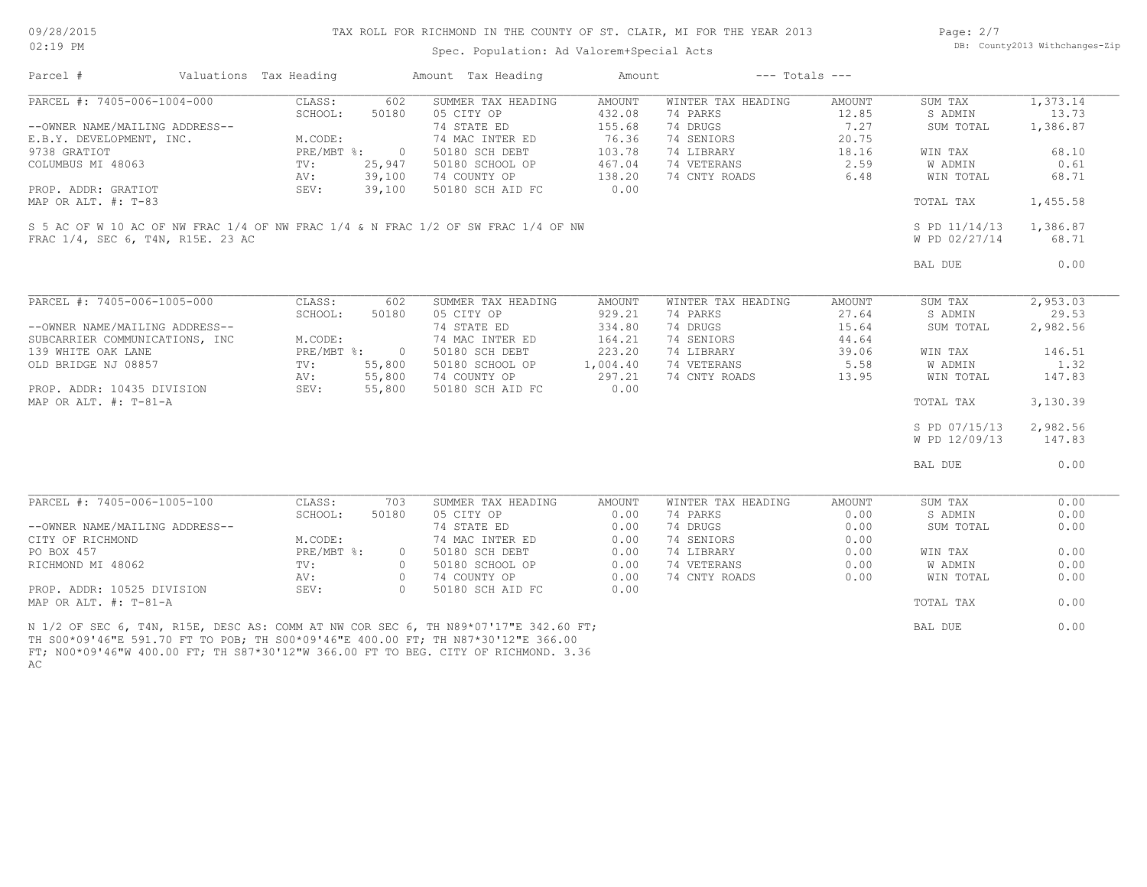Spec. Population: Ad Valorem+Special Acts

Page: 2/7 DB: County2013 Withchanges-Zip

| Parcel #                                                | Valuations Tax Heading |                         | Amount Tax Heading                                                                                                                                                                                | Amount        |                    | $---$ Totals $---$ |                |          |
|---------------------------------------------------------|------------------------|-------------------------|---------------------------------------------------------------------------------------------------------------------------------------------------------------------------------------------------|---------------|--------------------|--------------------|----------------|----------|
| PARCEL #: 7405-006-1004-000                             | CLASS:                 | 602                     | SUMMER TAX HEADING                                                                                                                                                                                | <b>AMOUNT</b> | WINTER TAX HEADING | AMOUNT             | SUM TAX        | 1,373.14 |
|                                                         | SCHOOL:                | 50180                   | 05 CITY OP                                                                                                                                                                                        | 432.08        | 74 PARKS           | 12.85              | S ADMIN        | 13.73    |
| --OWNER NAME/MAILING ADDRESS--                          |                        |                         | 74 STATE ED                                                                                                                                                                                       | 155.68        | 74 DRUGS           | 7.27               | SUM TOTAL      | 1,386.87 |
| E.B.Y. DEVELOPMENT, INC.                                | M.CODE:                |                         | 74 MAC INTER ED                                                                                                                                                                                   | 76.36         | 74 SENIORS         | 20.75              |                |          |
| 9738 GRATIOT                                            | PRE/MBT %:             | $\overline{0}$          | 50180 SCH DEBT                                                                                                                                                                                    | 103.78        | 74 LIBRARY         | 18.16              | WIN TAX        | 68.10    |
| COLUMBUS MI 48063                                       | TV:                    | 25,947                  | 50180 SCHOOL OP                                                                                                                                                                                   | 467.04        | 74 VETERANS        | 2.59               | <b>W ADMIN</b> | 0.61     |
|                                                         | AV:                    | 39,100                  | 74 COUNTY OP                                                                                                                                                                                      | 138.20        | 74 CNTY ROADS      | 6.48               | WIN TOTAL      | 68.71    |
| PROP. ADDR: GRATIOT                                     | SEV:                   | 39,100                  | 50180 SCH AID FC                                                                                                                                                                                  | 0.00          |                    |                    |                |          |
| MAP OR ALT. $\#$ : T-83                                 |                        |                         |                                                                                                                                                                                                   |               |                    |                    | TOTAL TAX      | 1,455.58 |
|                                                         |                        |                         | S 5 AC OF W 10 AC OF NW FRAC 1/4 OF NW FRAC 1/4 & N FRAC 1/2 OF SW FRAC 1/4 OF NW                                                                                                                 |               |                    |                    | S PD 11/14/13  | 1,386.87 |
| FRAC 1/4, SEC 6, T4N, R15E. 23 AC                       |                        |                         |                                                                                                                                                                                                   |               |                    |                    | W PD 02/27/14  | 68.71    |
|                                                         |                        |                         |                                                                                                                                                                                                   |               |                    |                    |                |          |
|                                                         |                        |                         |                                                                                                                                                                                                   |               |                    |                    | BAL DUE        | 0.00     |
|                                                         |                        |                         |                                                                                                                                                                                                   |               |                    |                    |                |          |
| PARCEL #: 7405-006-1005-000                             | CLASS:                 | 602                     | SUMMER TAX HEADING                                                                                                                                                                                | AMOUNT        | WINTER TAX HEADING | AMOUNT             | SUM TAX        | 2,953.03 |
|                                                         | SCHOOL:                | 50180                   | 05 CITY OP                                                                                                                                                                                        | 929.21        | 74 PARKS           | 27.64              | S ADMIN        | 29.53    |
| --OWNER NAME/MAILING ADDRESS--                          |                        |                         | 74 STATE ED                                                                                                                                                                                       | 334.80        | 74 DRUGS           | 15.64              | SUM TOTAL      | 2,982.56 |
| SUBCARRIER COMMUNICATIONS, INC                          | M.CODE:                |                         | 74 MAC INTER ED                                                                                                                                                                                   | 164.21        | 74 SENIORS         | 44.64              |                |          |
| 139 WHITE OAK LANE                                      | PRE/MBT %:             | $\circ$                 | 50180 SCH DEBT                                                                                                                                                                                    | 223.20        | 74 LIBRARY         | 39.06              | WIN TAX        | 146.51   |
| OLD BRIDGE NJ 08857                                     | TV:                    | 55,800                  | 50180 SCHOOL OP                                                                                                                                                                                   | 1,004.40      | 74 VETERANS        | 5.58               | <b>W ADMIN</b> | 1.32     |
|                                                         | AV:                    | 55,800                  | 74 COUNTY OP                                                                                                                                                                                      | 297.21        | 74 CNTY ROADS      | 13.95              | WIN TOTAL      | 147.83   |
| PROP. ADDR: 10435 DIVISION SEV:                         |                        | 55,800                  | 50180 SCH AID FC                                                                                                                                                                                  | 0.00          |                    |                    |                |          |
| MAP OR ALT. $\#$ : T-81-A                               |                        |                         |                                                                                                                                                                                                   |               |                    |                    | TOTAL TAX      | 3,130.39 |
|                                                         |                        |                         |                                                                                                                                                                                                   |               |                    |                    | S PD 07/15/13  | 2,982.56 |
|                                                         |                        |                         |                                                                                                                                                                                                   |               |                    |                    |                |          |
|                                                         |                        |                         |                                                                                                                                                                                                   |               |                    |                    | W PD 12/09/13  | 147.83   |
|                                                         |                        |                         |                                                                                                                                                                                                   |               |                    |                    | BAL DUE        | 0.00     |
|                                                         |                        |                         |                                                                                                                                                                                                   |               |                    |                    |                |          |
| PARCEL #: 7405-006-1005-100                             | CLASS:                 | 703                     | SUMMER TAX HEADING                                                                                                                                                                                | AMOUNT        | WINTER TAX HEADING | AMOUNT             | SUM TAX        | 0.00     |
|                                                         | SCHOOL:                | 50180                   | 05 CITY OP                                                                                                                                                                                        | 0.00          | 74 PARKS           | 0.00               | S ADMIN        | 0.00     |
| --OWNER NAME/MAILING ADDRESS--                          |                        |                         | 74 STATE ED                                                                                                                                                                                       | 0.00          | 74 DRUGS           | 0.00               | SUM TOTAL      | 0.00     |
| CITY OF RICHMOND                                        | M.CODE:                |                         | 74 MAC INTER ED                                                                                                                                                                                   | 0.00          | 74 SENIORS         | 0.00               |                |          |
| PO BOX 457                                              | PRE/MBT %:             | $\circ$                 | 50180 SCH DEBT                                                                                                                                                                                    | 0.00          | 74 LIBRARY         | 0.00               | WIN TAX        | 0.00     |
| RICHMOND MI 48062                                       | TV:                    | $\circ$                 | 50180 SCHOOL OP                                                                                                                                                                                   | 0.00          | 74 VETERANS        | 0.00               | <b>W ADMIN</b> | 0.00     |
|                                                         | AV:                    | $\bigcirc$<br>$\bigcap$ | 74 COUNTY OP                                                                                                                                                                                      | 0.00          | 74 CNTY ROADS      | 0.00               | WIN TOTAL      | 0.00     |
| PROP. ADDR: 10525 DIVISION<br>MAP OR ALT. $\#$ : T-81-A | SEV:                   |                         | 50180 SCH AID FC                                                                                                                                                                                  | 0.00          |                    |                    | TOTAL TAX      | 0.00     |
|                                                         |                        |                         | N 1/2 OF SEC 6, T4N, R15E, DESC AS: COMM AT NW COR SEC 6, TH N89*07'17"E 342.60 FT;<br>ጦህ ደሰበ≴ሰፅ! <i>ለር</i> ‼⊽ 501 7ሰ ፫ጦ ጦስ ከሰ⊅ ጦህ ደሰበ≴ሰፅ! <i>ለር</i> ‼⊽ <i>ለ</i> ሰሰ ሰሰ ፫ጦ∙ ጦህ እ107≴3ሰ!19‼⊽ 366 ሰሰ |               |                    |                    | BAL DUE        | 0.00     |

AC FT; N00\*09'46"W 400.00 FT; TH S87\*30'12"W 366.00 FT TO BEG. CITY OF RICHMOND. 3.36 TH S00\*09'46"E 591.70 FT TO POB; TH S00\*09'46"E 400.00 FT; TH N87\*30'12"E 366.00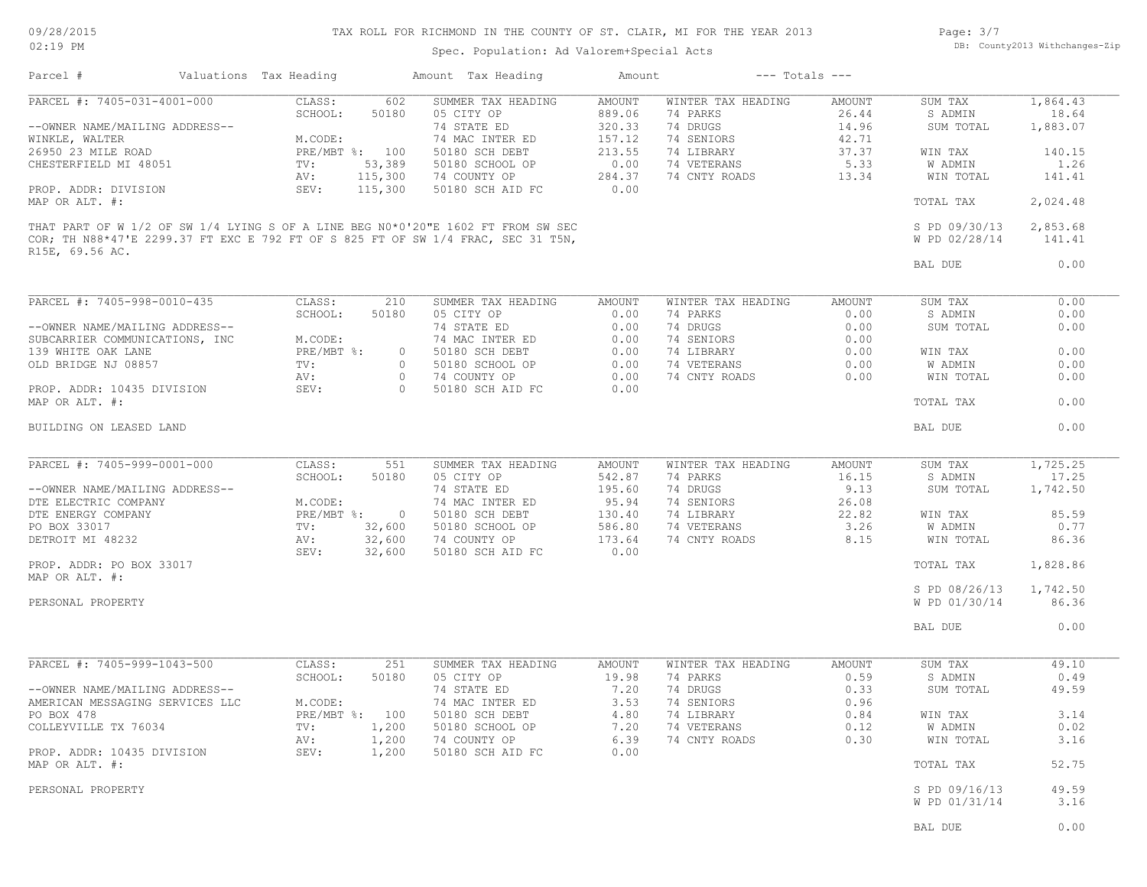Spec. Population: Ad Valorem+Special Acts

Page: 3/7 DB: County2013 Withchanges-Zip

| Parcel #                                     | Valuations Tax Heading          | Amount Tax Heading                                                               | Amount         | $---$ Totals $---$ |               |                                |               |
|----------------------------------------------|---------------------------------|----------------------------------------------------------------------------------|----------------|--------------------|---------------|--------------------------------|---------------|
| PARCEL #: 7405-031-4001-000                  | CLASS:<br>602                   | SUMMER TAX HEADING                                                               | <b>AMOUNT</b>  | WINTER TAX HEADING | AMOUNT        | SUM TAX                        | 1,864.43      |
|                                              | SCHOOL:<br>50180                | 05 CITY OP                                                                       | 889.06         | 74 PARKS           | 26.44         | S ADMIN                        | 18.64         |
| --OWNER NAME/MAILING ADDRESS--               |                                 | 74 STATE ED                                                                      | 320.33         | 74 DRUGS           | 14.96         | SUM TOTAL                      | 1,883.07      |
| WINKLE, WALTER                               | M.CODE:                         | 74 MAC INTER ED                                                                  | 157.12         | 74 SENIORS         | 42.71         |                                |               |
| 26950 23 MILE ROAD                           | PRE/MBT %: 100                  | 50180 SCH DEBT                                                                   | 213.55         | 74 LIBRARY         | 37.37         | WIN TAX                        | 140.15        |
| CHESTERFIELD MI 48051                        | 53,389<br>TV:                   | 50180 SCHOOL OP                                                                  | 0.00           | 74 VETERANS        | 5.33          | W ADMIN                        | 1.26          |
|                                              | 115,300<br>AV:                  | 74 COUNTY OP                                                                     | 284.37         | 74 CNTY ROADS      | 13.34         | WIN TOTAL                      | 141.41        |
| PROP. ADDR: DIVISION<br>MAP OR ALT. #:       | SEV:<br>115,300                 | 50180 SCH AID FC                                                                 | 0.00           |                    |               | TOTAL TAX                      | 2,024.48      |
|                                              |                                 | THAT PART OF W 1/2 OF SW 1/4 LYING S OF A LINE BEG N0*0'20"E 1602 FT FROM SW SEC |                |                    |               | S PD 09/30/13                  | 2,853.68      |
| R15E, 69.56 AC.                              |                                 | COR; TH N88*47'E 2299.37 FT EXC E 792 FT OF S 825 FT OF SW 1/4 FRAC, SEC 31 T5N, |                |                    |               | W PD 02/28/14                  | 141.41        |
|                                              |                                 |                                                                                  |                |                    |               | BAL DUE                        | 0.00          |
| PARCEL #: 7405-998-0010-435                  |                                 |                                                                                  |                |                    |               |                                |               |
|                                              | CLASS:<br>210                   | SUMMER TAX HEADING                                                               | AMOUNT         | WINTER TAX HEADING | <b>AMOUNT</b> | SUM TAX                        | 0.00          |
|                                              | SCHOOL:<br>50180                | 05 CITY OP                                                                       | 0.00           | 74 PARKS           | 0.00          | S ADMIN                        | 0.00          |
| --OWNER NAME/MAILING ADDRESS--               |                                 | 74 STATE ED                                                                      | 0.00           | 74 DRUGS           | 0.00          | SUM TOTAL                      | 0.00          |
| SUBCARRIER COMMUNICATIONS, INC               | M.CODE:                         | 74 MAC INTER ED                                                                  | 0.00           | 74 SENIORS         | 0.00          |                                |               |
| 139 WHITE OAK LANE                           | PRE/MBT %:                      | 50180 SCH DEBT<br>$\circ$                                                        | 0.00           | 74 LIBRARY         | 0.00          | WIN TAX                        | 0.00          |
| OLD BRIDGE NJ 08857                          | TV:                             | $\circ$<br>50180 SCHOOL OP                                                       | 0.00           | 74 VETERANS        | 0.00          | W ADMIN                        | 0.00          |
|                                              | AV:                             | $\circ$<br>74 COUNTY OP                                                          | 0.00           | 74 CNTY ROADS      | 0.00          | WIN TOTAL                      | 0.00          |
| PROP. ADDR: 10435 DIVISION<br>MAP OR ALT. #: | SEV:                            | $\Omega$<br>50180 SCH AID FC                                                     | 0.00           |                    |               | TOTAL TAX                      | 0.00          |
| BUILDING ON LEASED LAND                      |                                 |                                                                                  |                |                    |               | BAL DUE                        | 0.00          |
|                                              |                                 |                                                                                  |                |                    |               |                                |               |
| PARCEL #: 7405-999-0001-000                  | CLASS:<br>551                   | SUMMER TAX HEADING                                                               | AMOUNT         | WINTER TAX HEADING | AMOUNT        | SUM TAX                        | 1,725.25      |
|                                              | SCHOOL:<br>50180                | 05 CITY OP                                                                       | 542.87         | 74 PARKS           | 16.15         | S ADMIN                        | 17.25         |
| --OWNER NAME/MAILING ADDRESS--               |                                 | 74 STATE ED                                                                      | 195.60         | 74 DRUGS           | 9.13          | SUM TOTAL                      | 1,742.50      |
| DTE ELECTRIC COMPANY                         | M.CODE:                         | 74 MAC INTER ED                                                                  | 95.94          | 74 SENIORS         | 26.08         |                                |               |
| DTE ENERGY COMPANY                           | $PRE/MBT$ %:                    | $\overline{0}$<br>50180 SCH DEBT                                                 | 130.40         | 74 LIBRARY         | 22.82         | WIN TAX                        | 85.59         |
| PO BOX 33017                                 | TV:<br>32,600                   | 50180 SCHOOL OP                                                                  | 586.80         | 74 VETERANS        | 3.26          | W ADMIN                        | 0.77          |
| DETROIT MI 48232                             | AV:<br>32,600<br>SEV:<br>32,600 | 74 COUNTY OP<br>50180 SCH AID FC                                                 | 173.64<br>0.00 | 74 CNTY ROADS      | 8.15          | WIN TOTAL                      | 86.36         |
| PROP. ADDR: PO BOX 33017<br>MAP OR ALT. #:   |                                 |                                                                                  |                |                    |               | TOTAL TAX                      | 1,828.86      |
|                                              |                                 |                                                                                  |                |                    |               | S PD 08/26/13                  | 1,742.50      |
| PERSONAL PROPERTY                            |                                 |                                                                                  |                |                    |               | W PD 01/30/14                  | 86.36         |
|                                              |                                 |                                                                                  |                |                    |               | BAL DUE                        | 0.00          |
| PARCEL #: 7405-999-1043-500                  | CLASS:<br>251                   | SUMMER TAX HEADING                                                               | AMOUNT         | WINTER TAX HEADING | AMOUNT        | SUM TAX                        | 49.10         |
|                                              | SCHOOL:<br>50180                | 05 CITY OP                                                                       | 19.98          | 74 PARKS           | 0.59          | S ADMIN                        | 0.49          |
| --OWNER NAME/MAILING ADDRESS--               |                                 | 74 STATE ED                                                                      | 7.20           | 74 DRUGS           | 0.33          | SUM TOTAL                      | 49.59         |
| AMERICAN MESSAGING SERVICES LLC              | M.CODE:                         | 74 MAC INTER ED                                                                  | 3.53           | 74 SENIORS         | 0.96          |                                |               |
| PO BOX 478                                   | PRE/MBT %: 100                  | 50180 SCH DEBT                                                                   | 4.80           | 74 LIBRARY         | 0.84          | WIN TAX                        | 3.14          |
| COLLEYVILLE TX 76034                         | 1,200<br>TV:                    | 50180 SCHOOL OP                                                                  | 7.20           | 74 VETERANS        | 0.12          | W ADMIN                        | 0.02          |
|                                              | AV:<br>1,200                    | 74 COUNTY OP                                                                     | 6.39           | 74 CNTY ROADS      | 0.30          | WIN TOTAL                      | 3.16          |
| PROP. ADDR: 10435 DIVISION                   | SEV:<br>1,200                   | 50180 SCH AID FC                                                                 | 0.00           |                    |               |                                |               |
| MAP OR ALT. #:                               |                                 |                                                                                  |                |                    |               | TOTAL TAX                      | 52.75         |
|                                              |                                 |                                                                                  |                |                    |               |                                |               |
| PERSONAL PROPERTY                            |                                 |                                                                                  |                |                    |               | S PD 09/16/13<br>W PD 01/31/14 | 49.59<br>3.16 |
|                                              |                                 |                                                                                  |                |                    |               | BAL DUE                        | 0.00          |
|                                              |                                 |                                                                                  |                |                    |               |                                |               |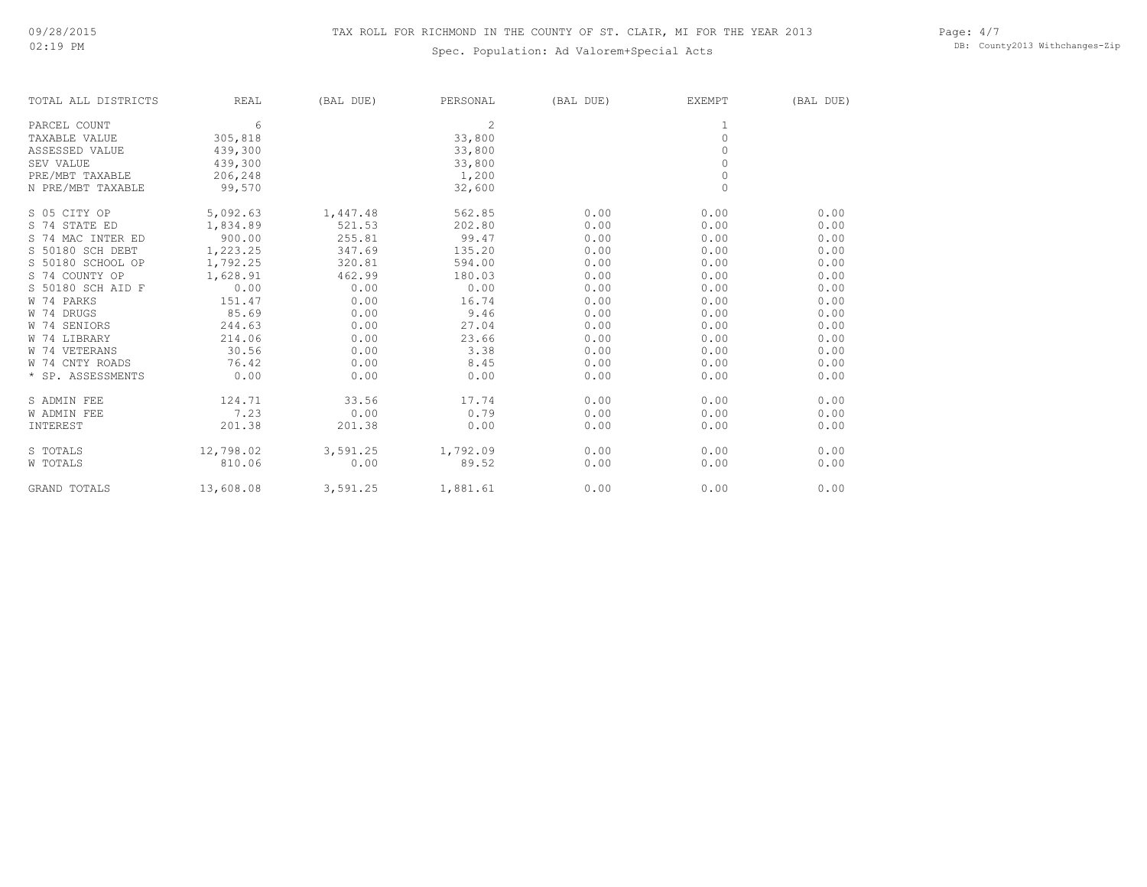# Spec. Population: Ad Valorem+Special Acts

Page: 4/7 DB: County2013 Withchanges-Zip

| TOTAL ALL DISTRICTS | <b>REAL</b> | (BAL DUE) | PERSONAL       | (BAL DUE) | <b>EXEMPT</b> | (BAL DUE) |
|---------------------|-------------|-----------|----------------|-----------|---------------|-----------|
| PARCEL COUNT        | 6           |           | $\mathfrak{D}$ |           |               |           |
| TAXABLE VALUE       | 305,818     |           | 33,800         |           | $\circ$       |           |
| ASSESSED VALUE      | 439,300     |           | 33,800         |           | $\Omega$      |           |
| SEV VALUE           | 439,300     |           | 33,800         |           | $\circ$       |           |
| PRE/MBT TAXABLE     | 206,248     |           | 1,200          |           | $\circ$       |           |
| N PRE/MBT TAXABLE   | 99,570      |           | 32,600         |           | $\Omega$      |           |
| S 05 CITY OP        | 5,092.63    | 1,447.48  | 562.85         | 0.00      | 0.00          | 0.00      |
| S 74 STATE ED       | 1,834.89    | 521.53    | 202.80         | 0.00      | 0.00          | 0.00      |
| S 74 MAC INTER ED   | 900.00      | 255.81    | 99.47          | 0.00      | 0.00          | 0.00      |
| S 50180 SCH DEBT    | 1,223.25    | 347.69    | 135.20         | 0.00      | 0.00          | 0.00      |
| S 50180 SCHOOL OP   | 1,792.25    | 320.81    | 594.00         | 0.00      | 0.00          | 0.00      |
| S 74 COUNTY OP      | 1,628.91    | 462.99    | 180.03         | 0.00      | 0.00          | 0.00      |
| S 50180 SCH AID F   | 0.00        | 0.00      | 0.00           | 0.00      | 0.00          | 0.00      |
| W 74 PARKS          | 151.47      | 0.00      | 16.74          | 0.00      | 0.00          | 0.00      |
| W 74 DRUGS          | 85.69       | 0.00      | 9.46           | 0.00      | 0.00          | 0.00      |
| W 74 SENIORS        | 244.63      | 0.00      | 27.04          | 0.00      | 0.00          | 0.00      |
| W 74 LIBRARY        | 214.06      | 0.00      | 23.66          | 0.00      | 0.00          | 0.00      |
| W 74 VETERANS       | 30.56       | 0.00      | 3.38           | 0.00      | 0.00          | 0.00      |
| W 74 CNTY ROADS     | 76.42       | 0.00      | 8.45           | 0.00      | 0.00          | 0.00      |
| * SP. ASSESSMENTS   | 0.00        | 0.00      | 0.00           | 0.00      | 0.00          | 0.00      |
| S ADMIN FEE         | 124.71      | 33.56     | 17.74          | 0.00      | 0.00          | 0.00      |
| <b>W ADMIN FEE</b>  | 7.23        | 0.00      | 0.79           | 0.00      | 0.00          | 0.00      |
| INTEREST            | 201.38      | 201.38    | 0.00           | 0.00      | 0.00          | 0.00      |
| S TOTALS            | 12,798.02   | 3,591.25  | 1,792.09       | 0.00      | 0.00          | 0.00      |
| W TOTALS            | 810.06      | 0.00      | 89.52          | 0.00      | 0.00          | 0.00      |
| <b>GRAND TOTALS</b> | 13,608.08   | 3,591.25  | 1,881.61       | 0.00      | 0.00          | 0.00      |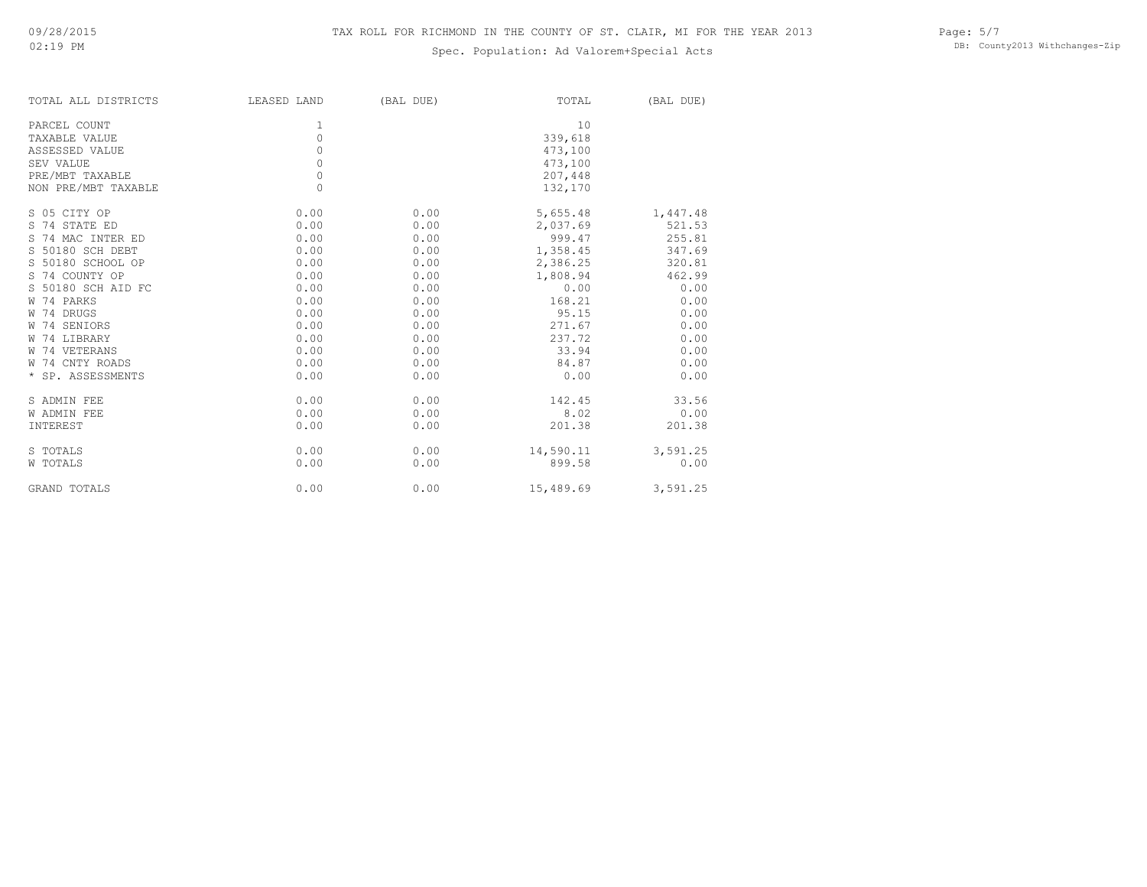# Spec. Population: Ad Valorem+Special Acts

Page: 5/7 DB: County2013 Withchanges-Zip

| TOTAL ALL DISTRICTS | LEASED LAND | (BAL DUE) | TOTAL     | (BAL DUE) |
|---------------------|-------------|-----------|-----------|-----------|
| PARCEL COUNT        | 1           |           | 10        |           |
| TAXABLE VALUE       | $\circ$     |           | 339,618   |           |
| ASSESSED VALUE      | $\circ$     |           | 473,100   |           |
| SEV VALUE           | $\circ$     |           | 473,100   |           |
| PRE/MBT TAXABLE     | $\circ$     |           | 207,448   |           |
| NON PRE/MBT TAXABLE | $\Omega$    |           | 132,170   |           |
| S 05 CITY OP        | 0.00        | 0.00      | 5,655.48  | 1,447.48  |
| S 74 STATE ED       | 0.00        | 0.00      | 2,037.69  | 521.53    |
| S 74 MAC INTER ED   | 0.00        | 0.00      | 999.47    | 255.81    |
| S 50180 SCH DEBT    | 0.00        | 0.00      | 1,358.45  | 347.69    |
| S 50180 SCHOOL OP   | 0.00        | 0.00      | 2,386.25  | 320.81    |
| S 74 COUNTY OP      | 0.00        | 0.00      | 1,808.94  | 462.99    |
| S 50180 SCH AID FC  | 0.00        | 0.00      | 0.00      | 0.00      |
| W 74 PARKS          | 0.00        | 0.00      | 168.21    | 0.00      |
| W 74 DRUGS          | 0.00        | 0.00      | 95.15     | 0.00      |
| W 74 SENIORS        | 0.00        | 0.00      | 271.67    | 0.00      |
| W 74 LIBRARY        | 0.00        | 0.00      | 237.72    | 0.00      |
| W 74 VETERANS       | 0.00        | 0.00      | 33.94     | 0.00      |
| W 74 CNTY ROADS     | 0.00        | 0.00      | 84.87     | 0.00      |
| * SP. ASSESSMENTS   | 0.00        | 0.00      | 0.00      | 0.00      |
| S ADMIN FEE         | 0.00        | 0.00      | 142.45    | 33.56     |
| <b>W ADMIN FEE</b>  | 0.00        | 0.00      | 8.02      | 0.00      |
| INTEREST            | 0.00        | 0.00      | 201.38    | 201.38    |
| S TOTALS            | 0.00        | 0.00      | 14,590.11 | 3,591.25  |
| W TOTALS            | 0.00        | 0.00      | 899.58    | 0.00      |
| GRAND TOTALS        | 0.00        | 0.00      | 15,489.69 | 3,591.25  |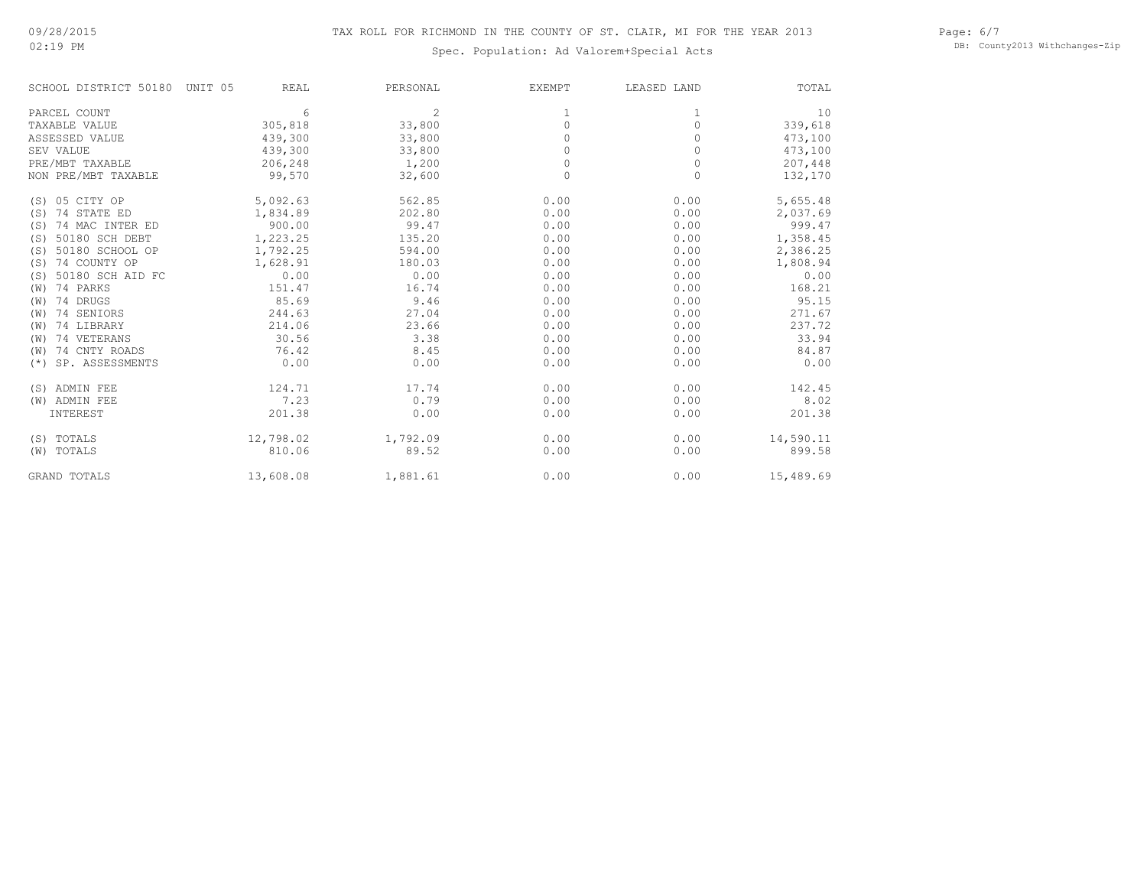02:19 PM

# Spec. Population: Ad Valorem+Special Acts

Page: 6/7 DB: County2013 Withchanges-Zip

| SCHOOL DISTRICT 50180    | UNIT 05<br>REAL | PERSONAL | <b>EXEMPT</b> | LEASED LAND | TOTAL     |
|--------------------------|-----------------|----------|---------------|-------------|-----------|
| PARCEL COUNT             | 6               | 2        |               | 1           | 10        |
| TAXABLE VALUE            | 305,818         | 33,800   | $\Omega$      | $\Omega$    | 339,618   |
| ASSESSED VALUE           | 439,300         | 33,800   |               |             | 473,100   |
| SEV VALUE                | 439,300         | 33,800   | 0             | 0           | 473,100   |
| PRE/MBT TAXABLE          | 206,248         | 1,200    | 0             | 0           | 207,448   |
| NON PRE/MBT TAXABLE      | 99,570          | 32,600   | $\Omega$      | $\Omega$    | 132,170   |
| (S) 05 CITY OP           | 5,092.63        | 562.85   | 0.00          | 0.00        | 5,655.48  |
| 74 STATE ED<br>(S)       | 1,834.89        | 202.80   | 0.00          | 0.00        | 2,037.69  |
| 74 MAC INTER ED<br>(S)   | 900.00          | 99.47    | 0.00          | 0.00        | 999.47    |
| 50180 SCH DEBT<br>(S)    | 1,223.25        | 135.20   | 0.00          | 0.00        | 1,358.45  |
| 50180 SCHOOL OP<br>(S)   | 1,792.25        | 594.00   | 0.00          | 0.00        | 2,386.25  |
| 74 COUNTY OP<br>(S)      | 1,628.91        | 180.03   | 0.00          | 0.00        | 1,808.94  |
| 50180 SCH AID FC<br>(S)  | 0.00            | 0.00     | 0.00          | 0.00        | 0.00      |
| 74 PARKS<br>(W)          | 151.47          | 16.74    | 0.00          | 0.00        | 168.21    |
| 74 DRUGS<br>(W)          | 85.69           | 9.46     | 0.00          | 0.00        | 95.15     |
| 74 SENIORS<br>(W)        | 244.63          | 27.04    | 0.00          | 0.00        | 271.67    |
| 74 LIBRARY<br>(W)        | 214.06          | 23.66    | 0.00          | 0.00        | 237.72    |
| 74 VETERANS<br>(W)       | 30.56           | 3.38     | 0.00          | 0.00        | 33.94     |
| 74 CNTY ROADS<br>(W)     | 76.42           | 8.45     | 0.00          | 0.00        | 84.87     |
| SP. ASSESSMENTS<br>$(*)$ | 0.00            | 0.00     | 0.00          | 0.00        | 0.00      |
| (S) ADMIN FEE            | 124.71          | 17.74    | 0.00          | 0.00        | 142.45    |
| (W) ADMIN FEE            | 7.23            | 0.79     | 0.00          | 0.00        | 8.02      |
| INTEREST                 | 201.38          | 0.00     | 0.00          | 0.00        | 201.38    |
| (S) TOTALS               | 12,798.02       | 1,792.09 | 0.00          | 0.00        | 14,590.11 |
| (W) TOTALS               | 810.06          | 89.52    | 0.00          | 0.00        | 899.58    |
| <b>GRAND TOTALS</b>      | 13,608.08       | 1,881.61 | 0.00          | 0.00        | 15,489.69 |